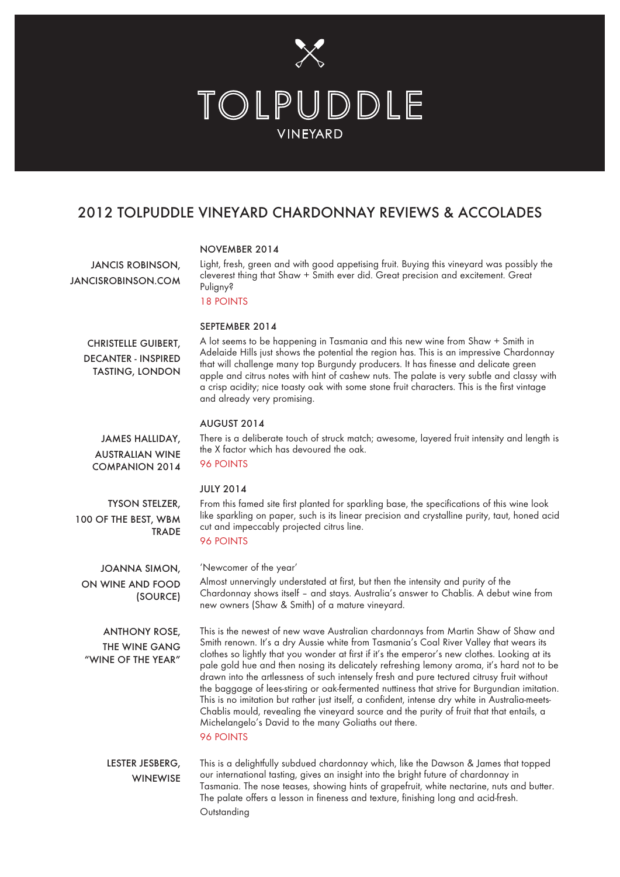

# 2012 TOLPUDDLE VINEYARD CHARDONNAY REVIEWS & ACCOLADES

#### NOVEMBER 2014

JANCIS ROBINSON, JANCISROBINSON.COM Light, fresh, green and with good appetising fruit. Buying this vineyard was possibly the cleverest thing that Shaw + Smith ever did. Great precision and excitement. Great Puligny?

18 POINTS

#### SEPTEMBER 2014

CHRISTELLE GUIBERT, DECANTER - INSPIRED TASTING, LONDON A lot seems to be happening in Tasmania and this new wine from Shaw + Smith in Adelaide Hills just shows the potential the region has. This is an impressive Chardonnay that will challenge many top Burgundy producers. It has finesse and delicate green apple and citrus notes with hint of cashew nuts. The palate is very subtle and classy with a crisp acidity; nice toasty oak with some stone fruit characters. This is the first vintage and already very promising.

There is a deliberate touch of struck match; awesome, layered fruit intensity and length is

#### AUGUST 2014

the X factor which has devoured the oak.

JAMES HALLIDAY, AUSTRALIAN WINE COMPANION 2014

96 POINTS

#### JULY 2014

TYSON STELZER, 100 OF THE BEST, WBM **TRADE**  From this famed site first planted for sparkling base, the specifications of this wine look like sparkling on paper, such is its linear precision and crystalline purity, taut, honed acid cut and impeccably projected citrus line.

### 96 POINTS

JOANNA SIMON, ON WINE AND FOOD (SOURCE) 'Newcomer of the year'

Almost unnervingly understated at first, but then the intensity and purity of the Chardonnay shows itself – and stays. Australia's answer to Chablis. A debut wine from new owners (Shaw & Smith) of a mature vineyard.

ANTHONY ROSE, THE WINE GANG "WINE OF THE YEAR"

This is the newest of new wave Australian chardonnays from Martin Shaw of Shaw and Smith renown. It's a dry Aussie white from Tasmania's Coal River Valley that wears its clothes so lightly that you wonder at first if it's the emperor's new clothes. Looking at its pale gold hue and then nosing its delicately refreshing lemony aroma, it's hard not to be drawn into the artlessness of such intensely fresh and pure tectured citrusy fruit without the baggage of lees-stiring or oak-fermented nuttiness that strive for Burgundian imitation. This is no imitation but rather just itself, a confident, intense dry white in Australia-meets-Chablis mould, revealing the vineyard source and the purity of fruit that that entails, a Michelangelo's David to the many Goliaths out there.

#### 96 POINTS

This is a delightfully subdued chardonnay which, like the Dawson & James that topped our international tasting, gives an insight into the bright future of chardonnay in Tasmania. The nose teases, showing hints of grapefruit, white nectarine, nuts and butter. The palate offers a lesson in fineness and texture, finishing long and acid-fresh. **Outstanding** LESTER JESBERG, **WINEWISE**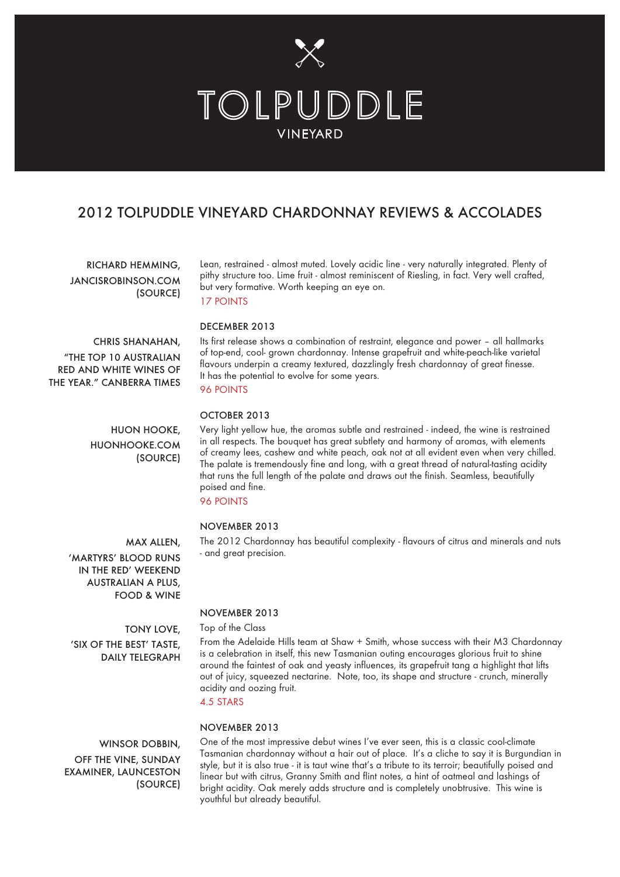

## 2012 TOLPUDDLE VINEYARD CHARDONNAY REVIEWS & ACCOLADES

RICHARD HEMMING, JANCISROBINSON.COM (SOURCE) Lean, restrained - almost muted. Lovely acidic line - very naturally integrated. Plenty of pithy structure too. Lime fruit - almost reminiscent of Riesling, in fact. Very well crafted, but very formative. Worth keeping an eye on. 17 POINTS

# CHRIS SHANAHAN,

"THE TOP 10 AUSTRALIAN RED AND WHITE WINES OF THE YEAR." CANBERRA TIMES

> HUON HOOKE, HUONHOOKE.COM (SOURCE)

# DECEMBER 2013

Its first release shows a combination of restraint, elegance and power – all hallmarks of top-end, cool- grown chardonnay. Intense grapefruit and white-peach-like varietal flavours underpin a creamy textured, dazzlingly fresh chardonnay of great finesse. It has the potential to evolve for some years.

#### 96 POINTS

#### OCTOBER 2013

Very light yellow hue, the aromas subtle and restrained - indeed, the wine is restrained in all respects. The bouquet has great subtlety and harmony of aromas, with elements of creamy lees, cashew and white peach, oak not at all evident even when very chilled. The palate is tremendously fine and long, with a great thread of natural-tasting acidity that runs the full length of the palate and draws out the finish. Seamless, beautifully poised and fine.

The 2012 Chardonnay has beautiful complexity - flavours of citrus and minerals and nuts

#### 96 POINTS

#### NOVEMBER 2013

- and great precision.

MAX ALLEN, IN THE RED' WEEKEND AUSTRALIAN A PLUS,

NOVEMBER 2013

Top of the Class From the Adelaide Hills team at Shaw + Smith, whose success with their M3 Chardonnay is a celebration in itself, this new Tasmanian outing encourages glorious fruit to shine around the faintest of oak and yeasty influences, its grapefruit tang a highlight that lifts out of juicy, squeezed nectarine. Note, too, its shape and structure - crunch, minerally acidity and oozing fruit.

#### 4.5 STARS

NOVEMBER 2013

### WINSOR DOBBIN, OFF THE VINE, SUNDAY EXAMINER, LAUNCESTON (SOURCE)

One of the most impressive debut wines I've ever seen, this is a classic cool-climate Tasmanian chardonnay without a hair out of place. It's a cliche to say it is Burgundian in style, but it is also true - it is taut wine that's a tribute to its terroir; beautifully poised and linear but with citrus, Granny Smith and flint notes, a hint of oatmeal and lashings of bright acidity. Oak merely adds structure and is completely unobtrusive. This wine is youthful but already beautiful.

'MARTYRS' BLOOD RUNS FOOD & WINE

TONY LOVE, 'SIX OF THE BEST' TASTE,

DAILY TELEGRAPH